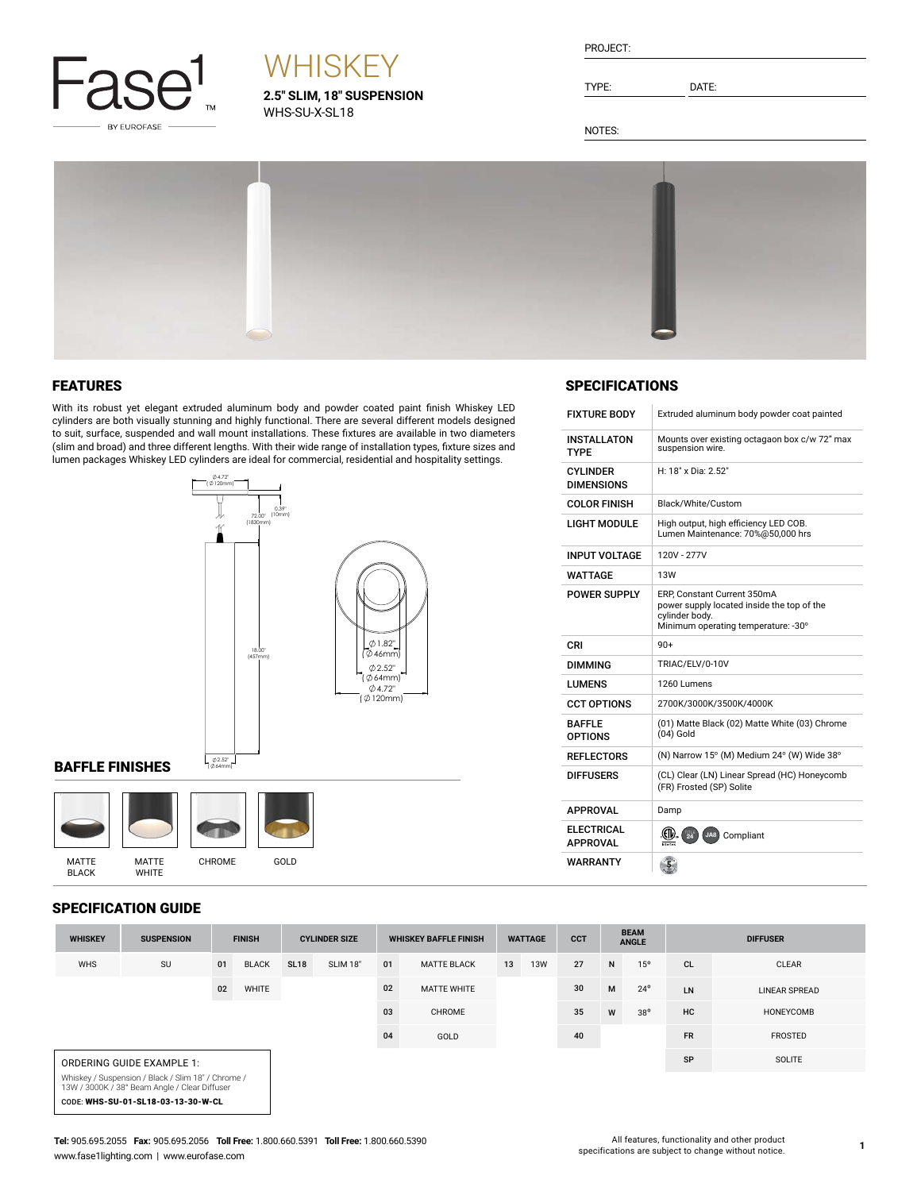

# **WHISKEY**

**2.5" SLIM, 18" SUSPENSION** WHS-SU-X-SL18

| PROJECT: |  |
|----------|--|
|          |  |

TYPE: DATE:

SPECIFICATIONS

INSTALLATON TYPE

CYLINDER DIMENSIONS

FIXTURE BODY Extruded aluminum body powder coat painted

H: 18" x Dia: 2.52"

LIGHT MODULE High output, high efficiency LED COB. Lumen Maintenance: 70%@50,000 hrs

POWER SUPPLY ERP, Constant Current 350mA power supply located inside the top of the

cylinder body.<br>Minimum operating temperature: -30°

(01) Matte Black (02) Matte White (03) Chrome

COLOR FINISH Black/White/Custom

INPUT VOLTAGE | 120V - 277V WATTAGE 13W

DIMMING TRIAC/ELV/0-10V LUMENS 1260 Lumens

CCT OPTIONS 2700K/3000K/3500K/4000K

 $(04)$  Gold

REFLECTORS  $\vert$  (N) Narrow 15° (M) Medium 24° (W) Wide 38° DIFFUSERS (CL) Clear (LN) Linear Spread (HC) Honeycomb (FR) Frosted (SP) Solite

 $CRI$  90+

APPROVAL Damp

BAFFLE OPTIONS

**ELECTRICAL**<br>APPROVAL WARRANTY

Mounts over existing octagaon box c/w 72" max suspension wire.

NOTES:



## FEATURES

With its robust yet elegant extruded aluminum body and powder coated paint finish Whiskey LED cylinders are both visually stunning and highly functional. There are several different models designed to suit, surface, suspended and wall mount installations. These fixtures are available in two diameters (slim and broad) and three different lengths. With their wide range of installation types, fixture sizes and lumen packages Whiskey LED cylinders are ideal for commercial, residential and hospitality settings.



## BAFFLE FINISHES





BLACK

**WHITE** 

| <b>SPECIFICATION GUIDE</b> |                           |               |              |                      |          |                              |                    |                |            |            |                             |              |                 |                      |
|----------------------------|---------------------------|---------------|--------------|----------------------|----------|------------------------------|--------------------|----------------|------------|------------|-----------------------------|--------------|-----------------|----------------------|
| <b>WHISKEY</b>             | <b>SUSPENSION</b>         | <b>FINISH</b> |              | <b>CYLINDER SIZE</b> |          | <b>WHISKEY BAFFLE FINISH</b> |                    | <b>WATTAGE</b> |            | <b>CCT</b> | <b>BEAM</b><br><b>ANGLE</b> |              | <b>DIFFUSER</b> |                      |
| <b>WHS</b>                 | SU                        | 01            | <b>BLACK</b> | <b>SL18</b>          | SLIM 18" | 01                           | <b>MATTE BLACK</b> | 13             | <b>13W</b> | 27         | N                           | 15°          | <b>CL</b>       | <b>CLEAR</b>         |
|                            |                           | 02            | <b>WHITE</b> |                      |          | 02                           | <b>MATTE WHITE</b> |                |            | 30         | M                           | $24^{\circ}$ | LN              | <b>LINEAR SPREAD</b> |
|                            |                           |               |              |                      |          | 03                           | CHROME             |                |            | 35         | W                           | $38^{\circ}$ | <b>HC</b>       | HONEYCOMB            |
|                            |                           |               |              |                      |          | 04                           | GOLD               |                |            | 40         |                             |              | <b>FR</b>       | <b>FROSTED</b>       |
|                            | ORDERING GUIDE EXAMPLE 1: |               |              |                      |          |                              |                    |                |            |            |                             |              | SP              | SOLITE               |

Whiskey / Suspension / Black / Slim 18" / Chrome / 13W / 3000K / 38° Beam Angle / Clear Diffuser CODE: WHS-SU-01-SL18-03-13-30-W-CL

APPROVAL **ELLE ARE ALL AND ALL AREA** JA8 Compliant

 $\left( \frac{5}{2} \right)$